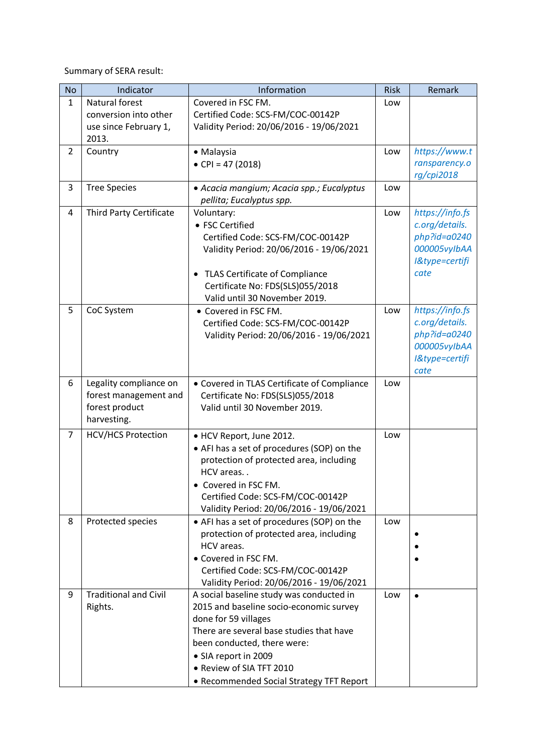Summary of SERA result:

| <b>No</b>      | Indicator                      | Information                                                       | <b>Risk</b> | Remark                            |
|----------------|--------------------------------|-------------------------------------------------------------------|-------------|-----------------------------------|
| $\mathbf{1}$   | Natural forest                 | Covered in FSC FM.                                                | Low         |                                   |
|                | conversion into other          | Certified Code: SCS-FM/COC-00142P                                 |             |                                   |
|                | use since February 1,          | Validity Period: 20/06/2016 - 19/06/2021                          |             |                                   |
|                | 2013.                          |                                                                   |             |                                   |
| $\overline{2}$ | Country                        | · Malaysia                                                        | Low         | https://www.t                     |
|                |                                | • CPI = 47 (2018)                                                 |             | ransparency.o                     |
|                |                                |                                                                   |             | rg/cpi2018                        |
| 3              | <b>Tree Species</b>            | · Acacia mangium; Acacia spp.; Eucalyptus                         | Low         |                                   |
|                |                                | pellita; Eucalyptus spp.                                          |             |                                   |
| 4              | <b>Third Party Certificate</b> | Voluntary:                                                        | Low         | https://info.fs                   |
|                |                                | • FSC Certified                                                   |             | c.org/details.                    |
|                |                                | Certified Code: SCS-FM/COC-00142P                                 |             | $php$ ?id=a0240                   |
|                |                                | Validity Period: 20/06/2016 - 19/06/2021                          |             | 000005vylbAA                      |
|                |                                |                                                                   |             | I&type=certifi<br>cate            |
|                |                                | <b>TLAS Certificate of Compliance</b><br>٠                        |             |                                   |
|                |                                | Certificate No: FDS(SLS)055/2018<br>Valid until 30 November 2019. |             |                                   |
| 5              | CoC System                     | • Covered in FSC FM.                                              | Low         |                                   |
|                |                                | Certified Code: SCS-FM/COC-00142P                                 |             | https://info.fs<br>c.org/details. |
|                |                                | Validity Period: 20/06/2016 - 19/06/2021                          |             | $php$ ?id=a0240                   |
|                |                                |                                                                   |             | 000005vylbAA                      |
|                |                                |                                                                   |             | I&type=certifi                    |
|                |                                |                                                                   |             | cate                              |
| 6              | Legality compliance on         | • Covered in TLAS Certificate of Compliance                       | Low         |                                   |
|                | forest management and          | Certificate No: FDS(SLS)055/2018                                  |             |                                   |
|                | forest product                 | Valid until 30 November 2019.                                     |             |                                   |
|                | harvesting.                    |                                                                   |             |                                   |
| $\overline{7}$ | <b>HCV/HCS Protection</b>      | • HCV Report, June 2012.                                          | Low         |                                   |
|                |                                | • AFI has a set of procedures (SOP) on the                        |             |                                   |
|                |                                | protection of protected area, including                           |             |                                   |
|                |                                | HCV areas                                                         |             |                                   |
|                |                                | • Covered in FSC FM.                                              |             |                                   |
|                |                                | Certified Code: SCS-FM/COC-00142P                                 |             |                                   |
|                |                                | Validity Period: 20/06/2016 - 19/06/2021                          |             |                                   |
| 8              | Protected species              | • AFI has a set of procedures (SOP) on the                        | Low         |                                   |
|                |                                | protection of protected area, including                           |             |                                   |
|                |                                | HCV areas.                                                        |             |                                   |
|                |                                | • Covered in FSC FM.                                              |             |                                   |
|                |                                | Certified Code: SCS-FM/COC-00142P                                 |             |                                   |
|                |                                | Validity Period: 20/06/2016 - 19/06/2021                          |             |                                   |
| 9              | <b>Traditional and Civil</b>   | A social baseline study was conducted in                          | Low         | $\bullet$                         |
|                | Rights.                        | 2015 and baseline socio-economic survey                           |             |                                   |
|                |                                | done for 59 villages                                              |             |                                   |
|                |                                | There are several base studies that have                          |             |                                   |
|                |                                | been conducted, there were:                                       |             |                                   |
|                |                                | • SIA report in 2009                                              |             |                                   |
|                |                                | • Review of SIA TFT 2010                                          |             |                                   |
|                |                                | • Recommended Social Strategy TFT Report                          |             |                                   |